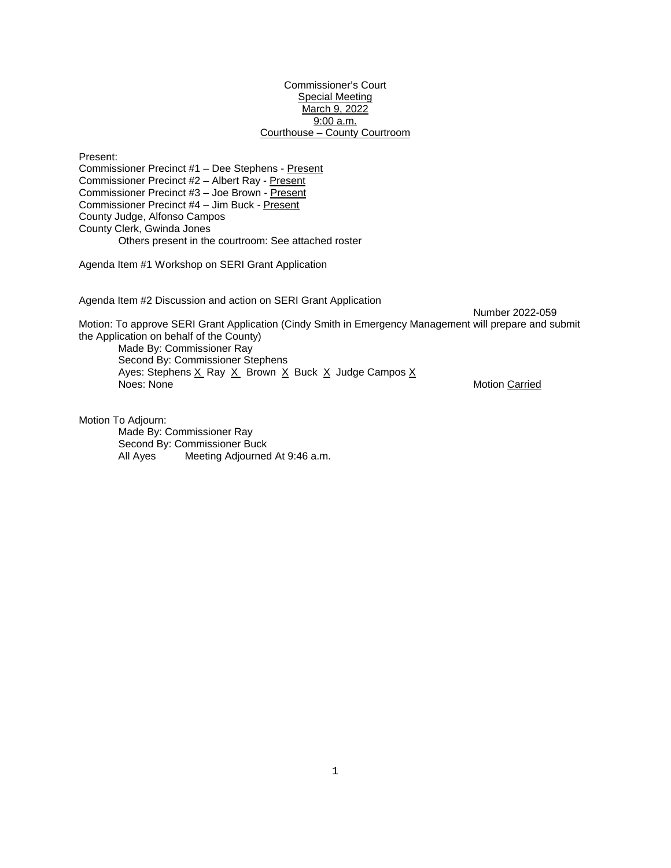## Commissioner's Court Special Meeting March 9, 2022 9:00 a.m. Courthouse – County Courtroom

Present: Commissioner Precinct #1 – Dee Stephens - Present Commissioner Precinct #2 – Albert Ray - Present Commissioner Precinct #3 – Joe Brown - Present Commissioner Precinct #4 – Jim Buck - Present County Judge, Alfonso Campos County Clerk, Gwinda Jones Others present in the courtroom: See attached roster

Agenda Item #1 Workshop on SERI Grant Application

Agenda Item #2 Discussion and action on SERI Grant Application

Number 2022-059 Motion: To approve SERI Grant Application (Cindy Smith in Emergency Management will prepare and submit the Application on behalf of the County) Made By: Commissioner Ray Second By: Commissioner Stephens Ayes: Stephens  $\underline{X}$  Ray  $\underline{X}$  Brown  $\underline{X}$  Buck  $\underline{X}$  Judge Campos  $\underline{X}$ <br>Noes: None Motion Carried

Motion To Adjourn: Made By: Commissioner Ray Second By: Commissioner Buck All Ayes Meeting Adjourned At 9:46 a.m.